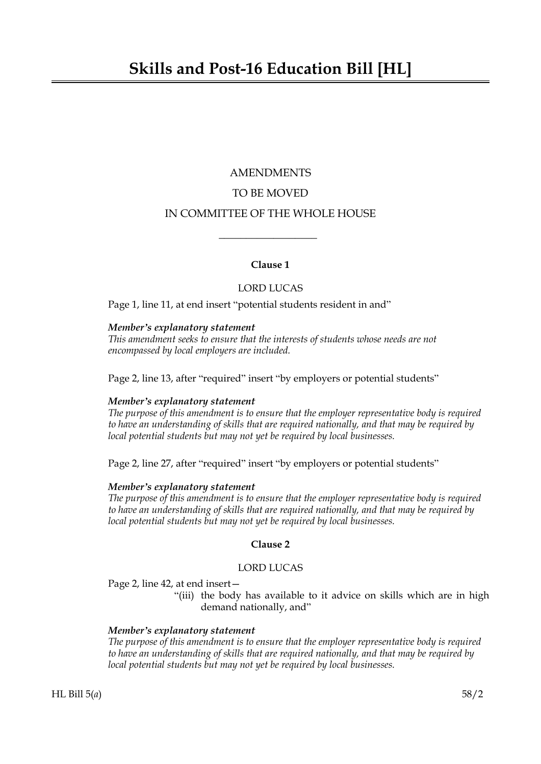# AMENDMENTS TO BE MOVED IN COMMITTEE OF THE WHOLE HOUSE

# **Clause 1**

 $\overline{\phantom{a}}$  , where  $\overline{\phantom{a}}$ 

# LORD LUCAS

Page 1, line 11, at end insert "potential students resident in and"

## *Member's explanatory statement*

*This amendment seeks to ensure that the interests of students whose needs are not encompassed by local employers are included.*

Page 2, line 13, after "required" insert "by employers or potential students"

### *Member's explanatory statement*

*The purpose of this amendment is to ensure that the employer representative body is required to have an understanding of skills that are required nationally, and that may be required by local potential students but may not yet be required by local businesses.*

Page 2, line 27, after "required" insert "by employers or potential students"

### *Member's explanatory statement*

*The purpose of this amendment is to ensure that the employer representative body is required to have an understanding of skills that are required nationally, and that may be required by local potential students but may not yet be required by local businesses.*

# **Clause 2**

## LORD LUCAS

Page 2, line 42, at end insert—

"(iii) the body has available to it advice on skills which are in high demand nationally, and"

### *Member's explanatory statement*

*The purpose of this amendment is to ensure that the employer representative body is required to have an understanding of skills that are required nationally, and that may be required by local potential students but may not yet be required by local businesses.*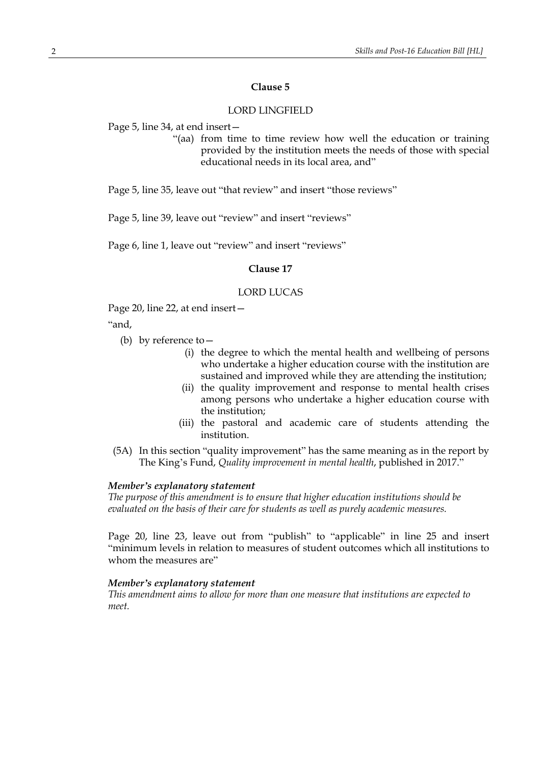# **Clause 5**

## LORD LINGFIELD

Page 5, line 34, at end insert—

"(aa) from time to time review how well the education or training provided by the institution meets the needs of those with special educational needs in its local area, and"

Page 5, line 35, leave out "that review" and insert "those reviews"

Page 5, line 39, leave out "review" and insert "reviews"

Page 6, line 1, leave out "review" and insert "reviews"

### **Clause 17**

#### LORD LUCAS

Page 20, line 22, at end insert—

"and,

- (b) by reference to—
	- (i) the degree to which the mental health and wellbeing of persons who undertake a higher education course with the institution are sustained and improved while they are attending the institution;
	- (ii) the quality improvement and response to mental health crises among persons who undertake a higher education course with the institution;
	- (iii) the pastoral and academic care of students attending the institution.
- (5A) In this section "quality improvement" has the same meaning as in the report by The King's Fund, *Quality improvement in mental health*, published in 2017."

#### *Member's explanatory statement*

*The purpose of this amendment is to ensure that higher education institutions should be evaluated on the basis of their care for students as well as purely academic measures.*

Page 20, line 23, leave out from "publish" to "applicable" in line 25 and insert "minimum levels in relation to measures of student outcomes which all institutions to whom the measures are"

## *Member's explanatory statement*

*This amendment aims to allow for more than one measure that institutions are expected to meet.*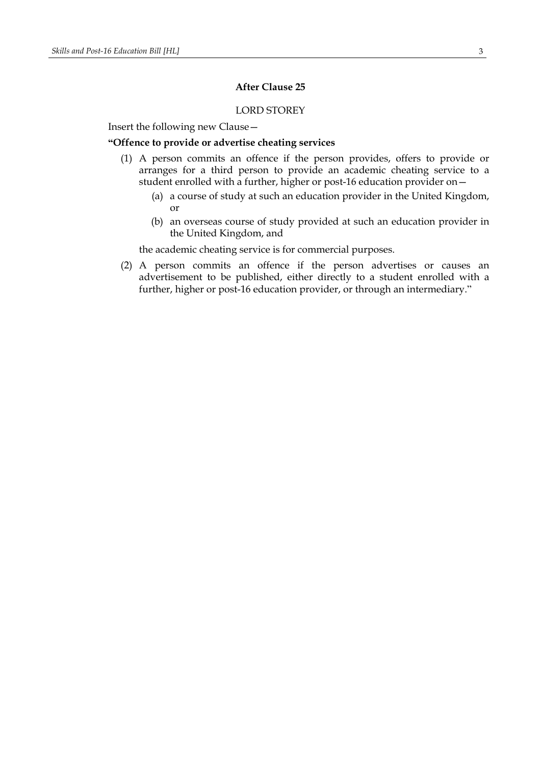# **After Clause 25**

# LORD STOREY

Insert the following new Clause—

#### **"Offence to provide or advertise cheating services**

- (1) A person commits an offence if the person provides, offers to provide or arranges for a third person to provide an academic cheating service to a student enrolled with a further, higher or post-16 education provider on—
	- (a) a course of study at such an education provider in the United Kingdom, or
	- (b) an overseas course of study provided at such an education provider in the United Kingdom, and

the academic cheating service is for commercial purposes.

(2) A person commits an offence if the person advertises or causes an advertisement to be published, either directly to a student enrolled with a further, higher or post-16 education provider, or through an intermediary."